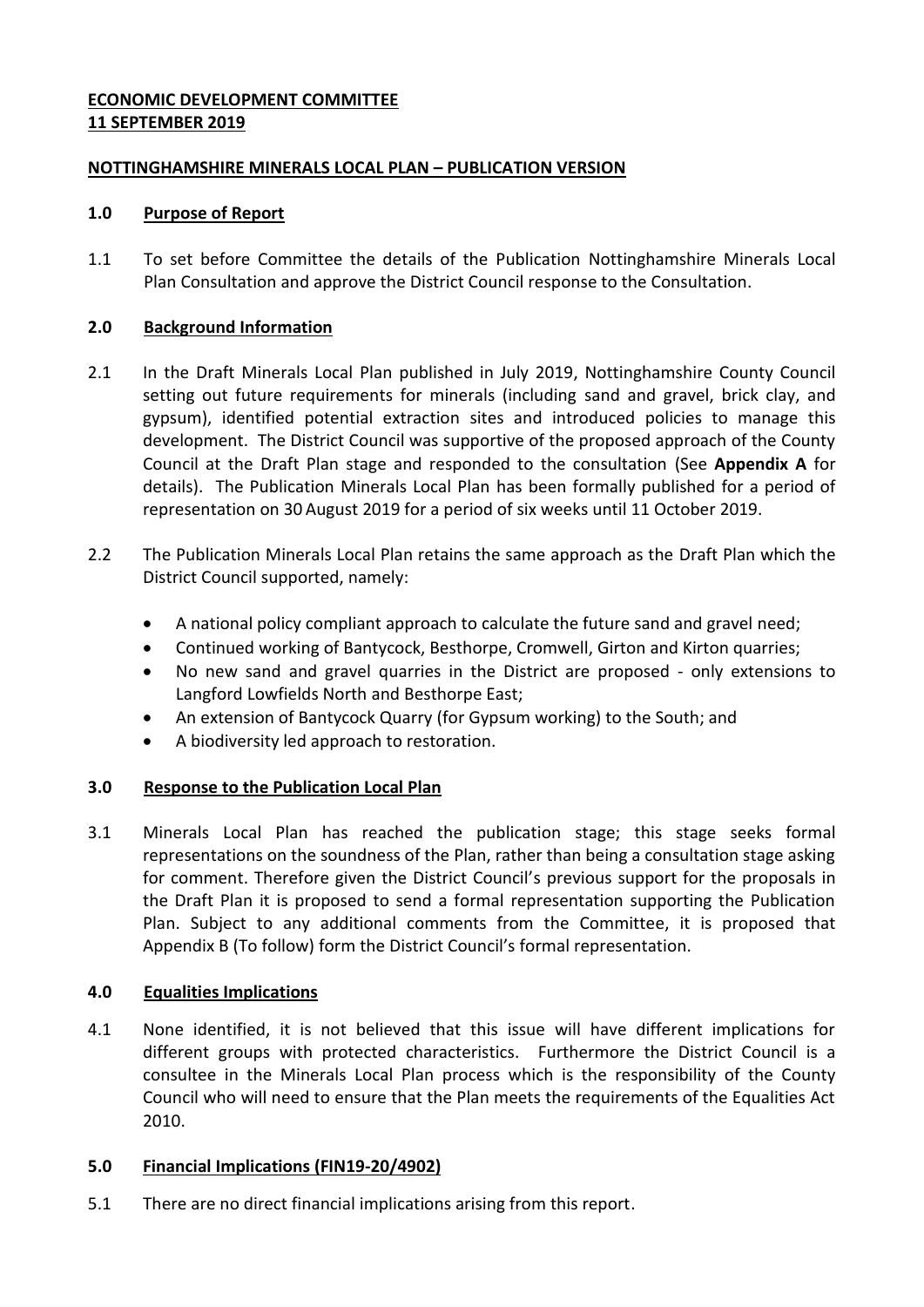## **ECONOMIC DEVELOPMENT COMMITTEE 11 SEPTEMBER 2019**

## **NOTTINGHAMSHIRE MINERALS LOCAL PLAN – PUBLICATION VERSION**

### **1.0 Purpose of Report**

1.1 To set before Committee the details of the Publication Nottinghamshire Minerals Local Plan Consultation and approve the District Council response to the Consultation.

## **2.0 Background Information**

- 2.1 In the Draft Minerals Local Plan published in July 2019, Nottinghamshire County Council setting out future requirements for minerals (including sand and gravel, brick clay, and gypsum), identified potential extraction sites and introduced policies to manage this development. The District Council was supportive of the proposed approach of the County Council at the Draft Plan stage and responded to the consultation (See **Appendix A** for details). The Publication Minerals Local Plan has been formally published for a period of representation on 30 August 2019 for a period of six weeks until 11 October 2019.
- 2.2 The Publication Minerals Local Plan retains the same approach as the Draft Plan which the District Council supported, namely:
	- A national policy compliant approach to calculate the future sand and gravel need;
	- Continued working of Bantycock, Besthorpe, Cromwell, Girton and Kirton quarries;
	- No new sand and gravel quarries in the District are proposed only extensions to Langford Lowfields North and Besthorpe East;
	- An extension of Bantycock Quarry (for Gypsum working) to the South; and
	- A biodiversity led approach to restoration.

# **3.0 Response to the Publication Local Plan**

3.1 Minerals Local Plan has reached the publication stage; this stage seeks formal representations on the soundness of the Plan, rather than being a consultation stage asking for comment. Therefore given the District Council's previous support for the proposals in the Draft Plan it is proposed to send a formal representation supporting the Publication Plan. Subject to any additional comments from the Committee, it is proposed that Appendix B (To follow) form the District Council's formal representation.

# **4.0 Equalities Implications**

4.1 None identified, it is not believed that this issue will have different implications for different groups with protected characteristics. Furthermore the District Council is a consultee in the Minerals Local Plan process which is the responsibility of the County Council who will need to ensure that the Plan meets the requirements of the Equalities Act 2010.

# **5.0 Financial Implications (FIN19-20/4902)**

5.1 There are no direct financial implications arising from this report.